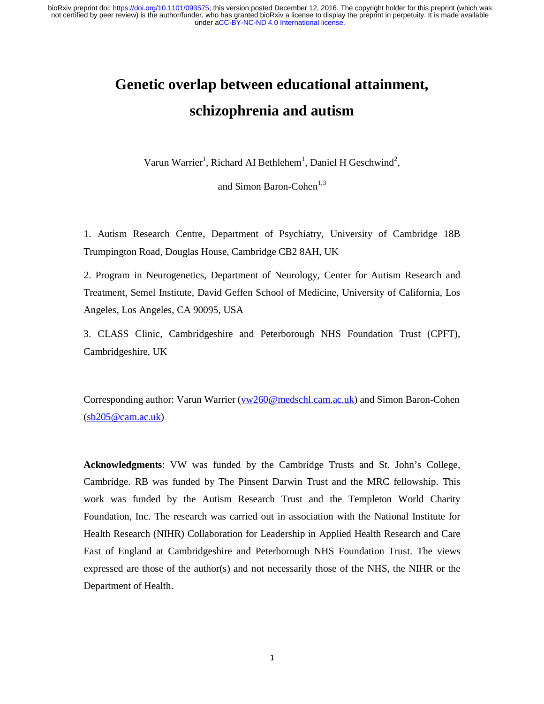# **Genetic overlap between educational attainment, schizophrenia and autism**

Varun Warrier<sup>1</sup>, Richard AI Bethlehem<sup>1</sup>, Daniel H Geschwind<sup>2</sup>,

and Simon Baron-Cohen $^{1,3}$ 

1. Autism Research Centre, Department of Psychiatry, University of Cambridge 18B Trumpington Road, Douglas House, Cambridge CB2 8AH, UK

2. Program in Neurogenetics, Department of Neurology, Center for Autism Research and Treatment, Semel Institute, David Geffen School of Medicine, University of California, Los Angeles, Los Angeles, CA 90095, USA

3. CLASS Clinic, Cambridgeshire and Peterborough NHS Foundation Trust (CPFT), Cambridgeshire, UK

Corresponding author: Varun Warrier (vw260@medschl.cam.ac.uk) and Simon Baron-Cohen  $(sb205@cam.ac.uk)$ 

**Acknowledgments**: VW was funded by the Cambridge Trusts and St. John's College, Cambridge. RB was funded by The Pinsent Darwin Trust and the MRC fellowship. This work was funded by the Autism Research Trust and the Templeton World Charity Foundation, Inc. The research was carried out in association with the National Institute for Health Research (NIHR) Collaboration for Leadership in Applied Health Research and Care East of England at Cambridgeshire and Peterborough NHS Foundation Trust. The views expressed are those of the author(s) and not necessarily those of the NHS, the NIHR or the Department of Health.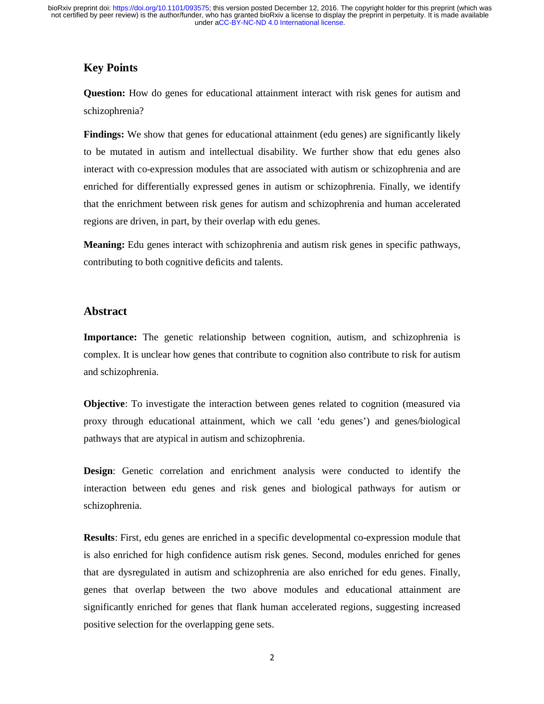# **Key Points**

**Question:** How do genes for educational attainment interact with risk genes for autism and schizophrenia?

**Findings:** We show that genes for educational attainment (edu genes) are significantly likely to be mutated in autism and intellectual disability. We further show that edu genes also interact with co-expression modules that are associated with autism or schizophrenia and are enriched for differentially expressed genes in autism or schizophrenia. Finally, we identify that the enrichment between risk genes for autism and schizophrenia and human accelerated regions are driven, in part, by their overlap with edu genes.

**Meaning:** Edu genes interact with schizophrenia and autism risk genes in specific pathways, contributing to both cognitive deficits and talents.

# **Abstract**

**Importance:** The genetic relationship between cognition, autism, and schizophrenia is complex. It is unclear how genes that contribute to cognition also contribute to risk for autism and schizophrenia.

**Objective**: To investigate the interaction between genes related to cognition (measured via proxy through educational attainment, which we call 'edu genes') and genes/biological pathways that are atypical in autism and schizophrenia.

**Design**: Genetic correlation and enrichment analysis were conducted to identify the interaction between edu genes and risk genes and biological pathways for autism or schizophrenia.

**Results**: First, edu genes are enriched in a specific developmental co-expression module that is also enriched for high confidence autism risk genes. Second, modules enriched for genes that are dysregulated in autism and schizophrenia are also enriched for edu genes. Finally, genes that overlap between the two above modules and educational attainment are significantly enriched for genes that flank human accelerated regions, suggesting increased positive selection for the overlapping gene sets.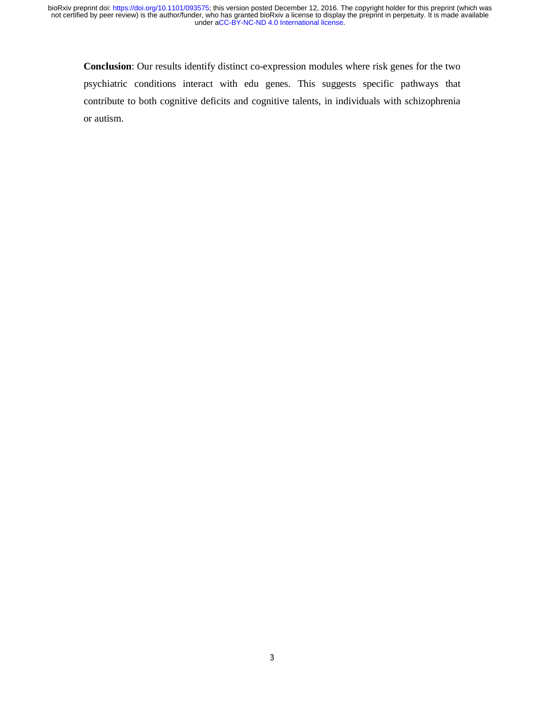**Conclusion**: Our results identify distinct co-expression modules where risk genes for the two psychiatric conditions interact with edu genes. This suggests specific pathways that contribute to both cognitive deficits and cognitive talents, in individuals with schizophrenia or autism.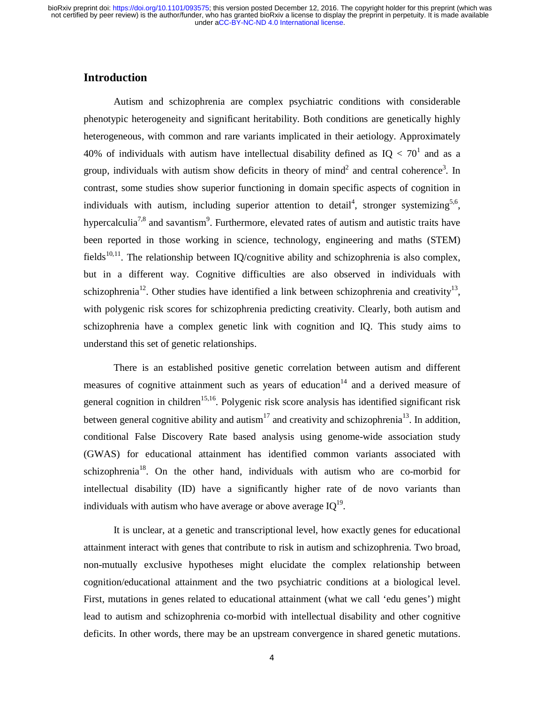### **Introduction**

Autism and schizophrenia are complex psychiatric conditions with considerable phenotypic heterogeneity and significant heritability. Both conditions are genetically highly heterogeneous, with common and rare variants implicated in their aetiology. Approximately 40% of individuals with autism have intellectual disability defined as  $IQ < 70<sup>1</sup>$  and as a group, individuals with autism show deficits in theory of mind<sup>2</sup> and central coherence<sup>3</sup>. In contrast, some studies show superior functioning in domain specific aspects of cognition in individuals with autism, including superior attention to detail<sup>4</sup>, stronger systemizing<sup>5,6</sup>, hypercalculia<sup>7,8</sup> and savantism<sup>9</sup>. Furthermore, elevated rates of autism and autistic traits have been reported in those working in science, technology, engineering and maths (STEM) fields<sup>10,11</sup>. The relationship between IQ/cognitive ability and schizophrenia is also complex, but in a different way. Cognitive difficulties are also observed in individuals with schizophrenia<sup>12</sup>. Other studies have identified a link between schizophrenia and creativity<sup>13</sup>, with polygenic risk scores for schizophrenia predicting creativity. Clearly, both autism and schizophrenia have a complex genetic link with cognition and IQ. This study aims to understand this set of genetic relationships.

There is an established positive genetic correlation between autism and different measures of cognitive attainment such as years of education<sup>14</sup> and a derived measure of general cognition in children<sup>15,16</sup>. Polygenic risk score analysis has identified significant risk between general cognitive ability and autism<sup>17</sup> and creativity and schizophrenia<sup>13</sup>. In addition, conditional False Discovery Rate based analysis using genome-wide association study (GWAS) for educational attainment has identified common variants associated with schizophrenia<sup>18</sup>. On the other hand, individuals with autism who are co-morbid for intellectual disability (ID) have a significantly higher rate of de novo variants than individuals with autism who have average or above average  $IQ^{19}$ .

It is unclear, at a genetic and transcriptional level, how exactly genes for educational attainment interact with genes that contribute to risk in autism and schizophrenia. Two broad, non-mutually exclusive hypotheses might elucidate the complex relationship between cognition/educational attainment and the two psychiatric conditions at a biological level. First, mutations in genes related to educational attainment (what we call 'edu genes') might lead to autism and schizophrenia co-morbid with intellectual disability and other cognitive deficits. In other words, there may be an upstream convergence in shared genetic mutations.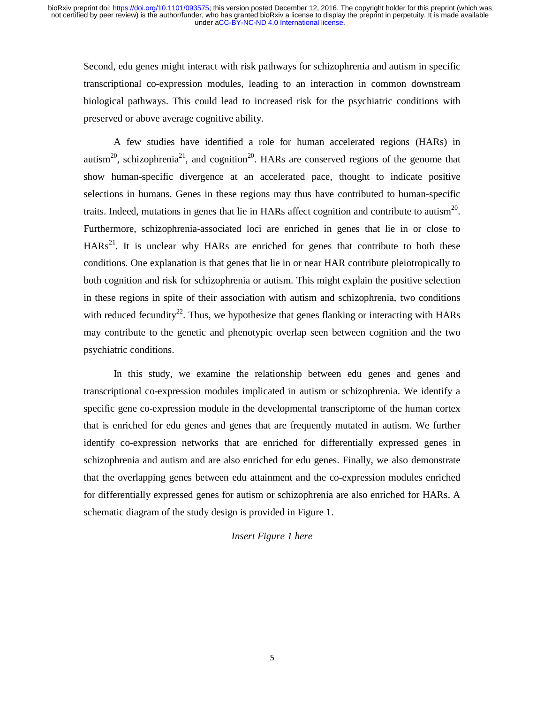Second, edu genes might interact with risk pathways for schizophrenia and autism in specific transcriptional co-expression modules, leading to an interaction in common downstream biological pathways. This could lead to increased risk for the psychiatric conditions with preserved or above average cognitive ability.

A few studies have identified a role for human accelerated regions (HARs) in autism<sup>20</sup>, schizophrenia<sup>21</sup>, and cognition<sup>20</sup>. HARs are conserved regions of the genome that show human-specific divergence at an accelerated pace, thought to indicate positive selections in humans. Genes in these regions may thus have contributed to human-specific traits. Indeed, mutations in genes that lie in HARs affect cognition and contribute to autism<sup>20</sup>. Furthermore, schizophrenia-associated loci are enriched in genes that lie in or close to  $HARs<sup>21</sup>$ . It is unclear why HARs are enriched for genes that contribute to both these conditions. One explanation is that genes that lie in or near HAR contribute pleiotropically to both cognition and risk for schizophrenia or autism. This might explain the positive selection in these regions in spite of their association with autism and schizophrenia, two conditions with reduced fecundity<sup>22</sup>. Thus, we hypothesize that genes flanking or interacting with HARs may contribute to the genetic and phenotypic overlap seen between cognition and the two psychiatric conditions.

In this study, we examine the relationship between edu genes and genes and transcriptional co-expression modules implicated in autism or schizophrenia. We identify a specific gene co-expression module in the developmental transcriptome of the human cortex that is enriched for edu genes and genes that are frequently mutated in autism. We further identify co-expression networks that are enriched for differentially expressed genes in schizophrenia and autism and are also enriched for edu genes. Finally, we also demonstrate that the overlapping genes between edu attainment and the co-expression modules enriched for differentially expressed genes for autism or schizophrenia are also enriched for HARs. A schematic diagram of the study design is provided in Figure 1.

#### *Insert Figure 1 here*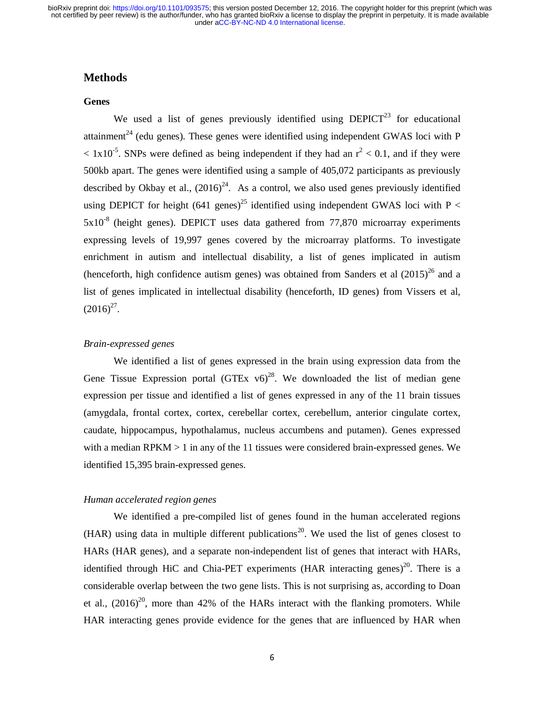## **Methods**

#### **Genes**

We used a list of genes previously identified using  $DEPICT<sup>23</sup>$  for educational attainment<sup>24</sup> (edu genes). These genes were identified using independent GWAS loci with P  $< 1x10^{-5}$ . SNPs were defined as being independent if they had an  $r^2 < 0.1$ , and if they were 500kb apart. The genes were identified using a sample of 405,072 participants as previously described by Okbay et al.,  $(2016)^{24}$ . As a control, we also used genes previously identified using DEPICT for height (641 genes)<sup>25</sup> identified using independent GWAS loci with P <  $5x10^{-8}$  (height genes). DEPICT uses data gathered from 77,870 microarray experiments expressing levels of 19,997 genes covered by the microarray platforms. To investigate enrichment in autism and intellectual disability, a list of genes implicated in autism (henceforth, high confidence autism genes) was obtained from Sanders et al  $(2015)^{26}$  and a list of genes implicated in intellectual disability (henceforth, ID genes) from Vissers et al,  $(2016)^{27}$ .

#### *Brain-expressed genes*

We identified a list of genes expressed in the brain using expression data from the Gene Tissue Expression portal  $(GTEx\ v6)^{28}$ . We downloaded the list of median gene expression per tissue and identified a list of genes expressed in any of the 11 brain tissues (amygdala, frontal cortex, cortex, cerebellar cortex, cerebellum, anterior cingulate cortex, caudate, hippocampus, hypothalamus, nucleus accumbens and putamen). Genes expressed with a median RPKM  $> 1$  in any of the 11 tissues were considered brain-expressed genes. We identified 15,395 brain-expressed genes.

#### *Human accelerated region genes*

We identified a pre-compiled list of genes found in the human accelerated regions (HAR) using data in multiple different publications<sup>20</sup>. We used the list of genes closest to HARs (HAR genes), and a separate non-independent list of genes that interact with HARs, identified through HiC and Chia-PET experiments (HAR interacting genes)<sup>20</sup>. There is a considerable overlap between the two gene lists. This is not surprising as, according to Doan et al.,  $(2016)^{20}$ , more than 42% of the HARs interact with the flanking promoters. While HAR interacting genes provide evidence for the genes that are influenced by HAR when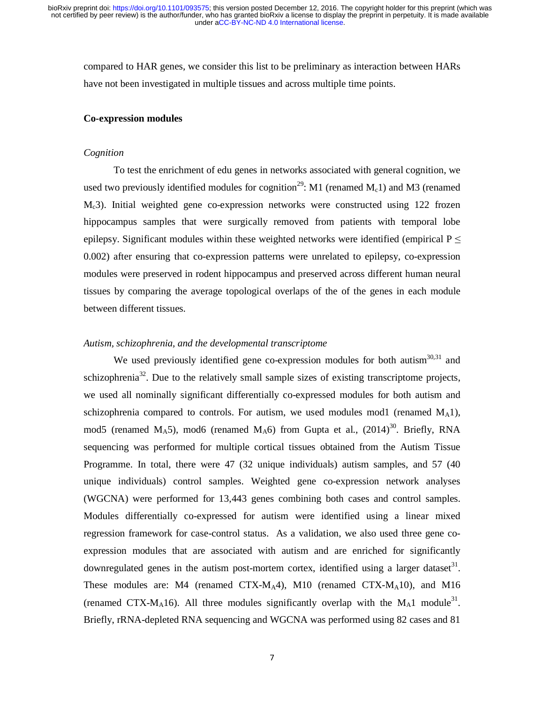compared to HAR genes, we consider this list to be preliminary as interaction between HARs have not been investigated in multiple tissues and across multiple time points.

#### **Co-expression modules**

#### *Cognition*

To test the enrichment of edu genes in networks associated with general cognition, we used two previously identified modules for cognition<sup>29</sup>: M1 (renamed  $M_c$ 1) and M3 (renamed Mc3). Initial weighted gene co-expression networks were constructed using 122 frozen hippocampus samples that were surgically removed from patients with temporal lobe epilepsy. Significant modules within these weighted networks were identified (empirical  $P \leq$ 0.002) after ensuring that co-expression patterns were unrelated to epilepsy, co-expression modules were preserved in rodent hippocampus and preserved across different human neural tissues by comparing the average topological overlaps of the of the genes in each module between different tissues.

#### *Autism, schizophrenia, and the developmental transcriptome*

We used previously identified gene co-expression modules for both autism<sup>30,31</sup> and schizophrenia<sup>32</sup>. Due to the relatively small sample sizes of existing transcriptome projects, we used all nominally significant differentially co-expressed modules for both autism and schizophrenia compared to controls. For autism, we used modules mod1 (renamed  $M_A$ 1), mod5 (renamed M<sub>A</sub>5), mod6 (renamed M<sub>A</sub>6) from Gupta et al.,  $(2014)^{30}$ . Briefly, RNA sequencing was performed for multiple cortical tissues obtained from the Autism Tissue Programme. In total, there were 47 (32 unique individuals) autism samples, and 57 (40 unique individuals) control samples. Weighted gene co-expression network analyses (WGCNA) were performed for 13,443 genes combining both cases and control samples. Modules differentially co-expressed for autism were identified using a linear mixed regression framework for case-control status. As a validation, we also used three gene coexpression modules that are associated with autism and are enriched for significantly downregulated genes in the autism post-mortem cortex, identified using a larger dataset<sup>31</sup>. These modules are: M4 (renamed  $(TX-M<sub>A</sub>4)$ , M10 (renamed  $(TX-M<sub>A</sub>10)$ , and M16 (renamed CTX-M<sub>A</sub>16). All three modules significantly overlap with the M<sub>A</sub>1 module<sup>31</sup>. Briefly, rRNA-depleted RNA sequencing and WGCNA was performed using 82 cases and 81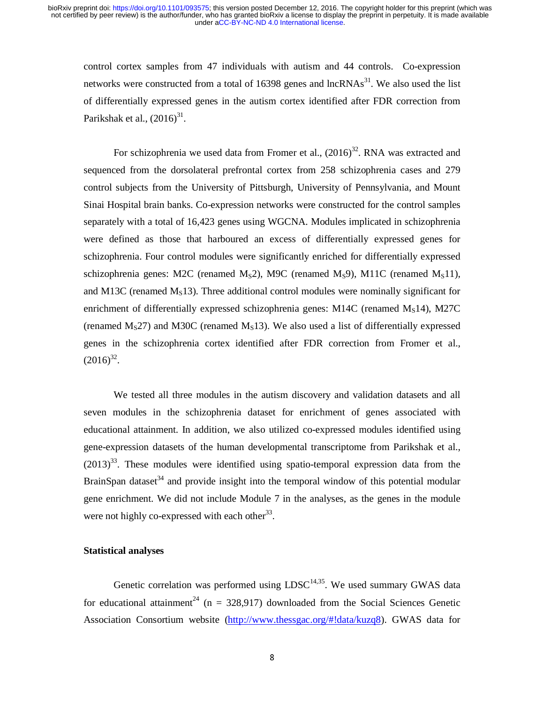control cortex samples from 47 individuals with autism and 44 controls. Co-expression networks were constructed from a total of  $16398$  genes and  $IncRNAs<sup>31</sup>$ . We also used the list of differentially expressed genes in the autism cortex identified after FDR correction from Parikshak et al.,  $(2016)^{31}$ .

For schizophrenia we used data from Fromer et al.,  $(2016)^{32}$ . RNA was extracted and sequenced from the dorsolateral prefrontal cortex from 258 schizophrenia cases and 279 control subjects from the University of Pittsburgh, University of Pennsylvania, and Mount Sinai Hospital brain banks. Co-expression networks were constructed for the control samples separately with a total of 16,423 genes using WGCNA. Modules implicated in schizophrenia were defined as those that harboured an excess of differentially expressed genes for schizophrenia. Four control modules were significantly enriched for differentially expressed schizophrenia genes: M2C (renamed  $M_S$ 2), M9C (renamed  $M_S$ 9), M11C (renamed  $M_S$ 11), and M13C (renamed  $M<sub>S</sub>13$ ). Three additional control modules were nominally significant for enrichment of differentially expressed schizophrenia genes:  $M14C$  (renamed  $M<sub>S</sub>14$ ), M27C (renamed  $M<sub>S</sub>27$ ) and M30C (renamed  $M<sub>S</sub>13$ ). We also used a list of differentially expressed genes in the schizophrenia cortex identified after FDR correction from Fromer et al.,  $(2016)^{32}$ .

We tested all three modules in the autism discovery and validation datasets and all seven modules in the schizophrenia dataset for enrichment of genes associated with educational attainment. In addition, we also utilized co-expressed modules identified using gene-expression datasets of the human developmental transcriptome from Parikshak et al.,  $(2013)^{33}$ . These modules were identified using spatio-temporal expression data from the BrainSpan dataset<sup>34</sup> and provide insight into the temporal window of this potential modular gene enrichment. We did not include Module 7 in the analyses, as the genes in the module were not highly co-expressed with each other<sup>33</sup>.

#### **Statistical analyses**

Genetic correlation was performed using  $LDSC^{14,35}$ . We used summary GWAS data for educational attainment<sup>24</sup> (n = 328.917) downloaded from the Social Sciences Genetic Association Consortium website (http://www.thessgac.org/#!data/kuzq8). GWAS data for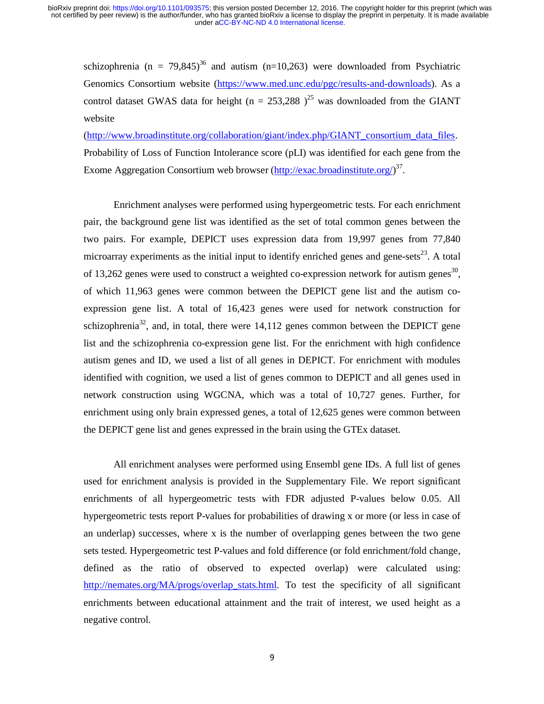schizophrenia (n = 79,845)<sup>36</sup> and autism (n=10,263) were downloaded from Psychiatric Genomics Consortium website (https://www.med.unc.edu/pgc/results-and-downloads). As a control dataset GWAS data for height (n = 253,288 )<sup>25</sup> was downloaded from the GIANT website

(http://www.broadinstitute.org/collaboration/giant/index.php/GIANT\_consortium\_data\_files. Probability of Loss of Function Intolerance score (pLI) was identified for each gene from the Exome Aggregation Consortium web browser (http://exac.broadinstitute.org/)<sup>37</sup>.

Enrichment analyses were performed using hypergeometric tests. For each enrichment pair, the background gene list was identified as the set of total common genes between the two pairs. For example, DEPICT uses expression data from 19,997 genes from 77,840 microarray experiments as the initial input to identify enriched genes and gene-sets<sup>23</sup>. A total of 13,262 genes were used to construct a weighted co-expression network for autism genes<sup>30</sup>, of which 11,963 genes were common between the DEPICT gene list and the autism coexpression gene list. A total of 16,423 genes were used for network construction for schizophrenia<sup>32</sup>, and, in total, there were  $14,112$  genes common between the DEPICT gene list and the schizophrenia co-expression gene list. For the enrichment with high confidence autism genes and ID, we used a list of all genes in DEPICT. For enrichment with modules identified with cognition, we used a list of genes common to DEPICT and all genes used in network construction using WGCNA, which was a total of 10,727 genes. Further, for enrichment using only brain expressed genes, a total of 12,625 genes were common between the DEPICT gene list and genes expressed in the brain using the GTEx dataset.

All enrichment analyses were performed using Ensembl gene IDs. A full list of genes used for enrichment analysis is provided in the Supplementary File. We report significant enrichments of all hypergeometric tests with FDR adjusted P-values below 0.05. All hypergeometric tests report P-values for probabilities of drawing x or more (or less in case of an underlap) successes, where x is the number of overlapping genes between the two gene sets tested. Hypergeometric test P-values and fold difference (or fold enrichment/fold change, defined as the ratio of observed to expected overlap) were calculated using: http://nemates.org/MA/progs/overlap\_stats.html. To test the specificity of all significant enrichments between educational attainment and the trait of interest, we used height as a negative control.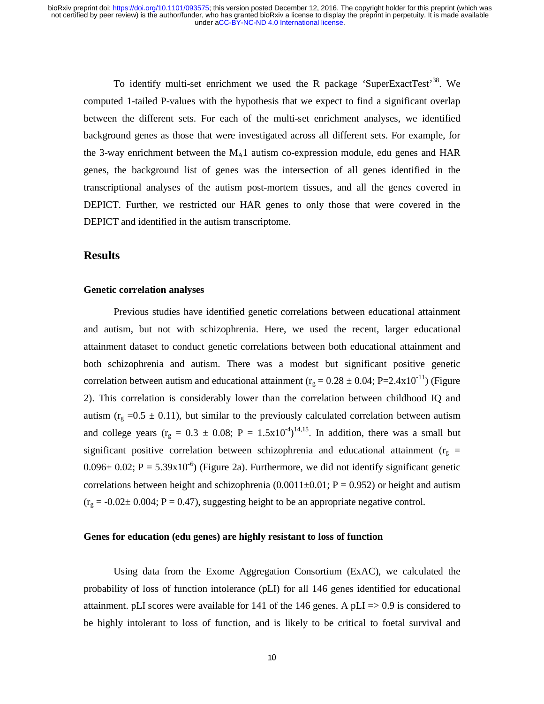To identify multi-set enrichment we used the R package 'SuperExactTest'38. We computed 1-tailed P-values with the hypothesis that we expect to find a significant overlap between the different sets. For each of the multi-set enrichment analyses, we identified background genes as those that were investigated across all different sets. For example, for the 3-way enrichment between the  $M<sub>A</sub>1$  autism co-expression module, edu genes and HAR genes, the background list of genes was the intersection of all genes identified in the transcriptional analyses of the autism post-mortem tissues, and all the genes covered in DEPICT. Further, we restricted our HAR genes to only those that were covered in the DEPICT and identified in the autism transcriptome.

### **Results**

#### **Genetic correlation analyses**

Previous studies have identified genetic correlations between educational attainment and autism, but not with schizophrenia. Here, we used the recent, larger educational attainment dataset to conduct genetic correlations between both educational attainment and both schizophrenia and autism. There was a modest but significant positive genetic correlation between autism and educational attainment ( $r_g = 0.28 \pm 0.04$ ; P=2.4x10<sup>-11</sup>) (Figure 2). This correlation is considerably lower than the correlation between childhood IQ and autism ( $r_g = 0.5 \pm 0.11$ ), but similar to the previously calculated correlation between autism and college years ( $r_g = 0.3 \pm 0.08$ ; P = 1.5x10<sup>-4</sup>)<sup>14,15</sup>. In addition, there was a small but significant positive correlation between schizophrenia and educational attainment ( $r_g$  =  $0.096\pm 0.02$ ; P = 5.39x10<sup>-6</sup>) (Figure 2a). Furthermore, we did not identify significant genetic correlations between height and schizophrenia  $(0.0011\pm0.01; P = 0.952)$  or height and autism  $(r<sub>g</sub> = -0.02 \pm 0.004; P = 0.47)$ , suggesting height to be an appropriate negative control.

#### **Genes for education (edu genes) are highly resistant to loss of function**

Using data from the Exome Aggregation Consortium (ExAC), we calculated the probability of loss of function intolerance (pLI) for all 146 genes identified for educational attainment. pLI scores were available for  $141$  of the 146 genes. A pLI  $\approx$  0.9 is considered to be highly intolerant to loss of function, and is likely to be critical to foetal survival and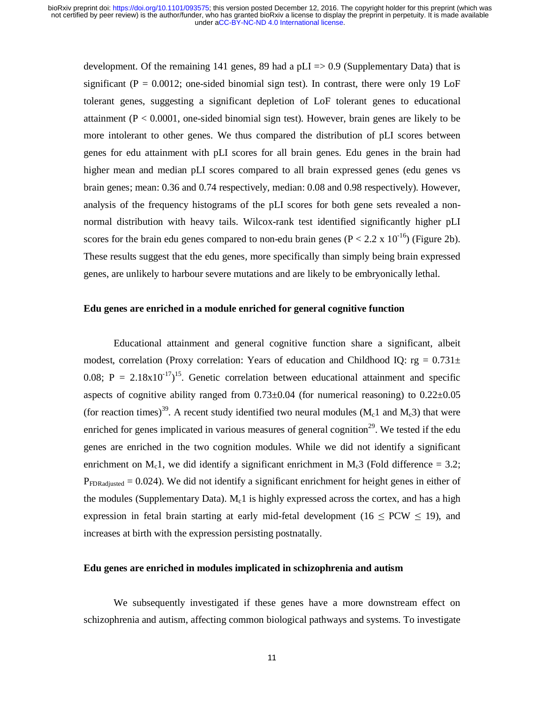development. Of the remaining 141 genes, 89 had a pLI  $=$  0.9 (Supplementary Data) that is significant ( $P = 0.0012$ ; one-sided binomial sign test). In contrast, there were only 19 LoF tolerant genes, suggesting a significant depletion of LoF tolerant genes to educational attainment ( $P < 0.0001$ , one-sided binomial sign test). However, brain genes are likely to be more intolerant to other genes. We thus compared the distribution of pLI scores between genes for edu attainment with pLI scores for all brain genes. Edu genes in the brain had higher mean and median pLI scores compared to all brain expressed genes (edu genes vs brain genes; mean: 0.36 and 0.74 respectively, median: 0.08 and 0.98 respectively). However, analysis of the frequency histograms of the pLI scores for both gene sets revealed a nonnormal distribution with heavy tails. Wilcox-rank test identified significantly higher pLI scores for the brain edu genes compared to non-edu brain genes ( $P < 2.2 \times 10^{-16}$ ) (Figure 2b). These results suggest that the edu genes, more specifically than simply being brain expressed genes, are unlikely to harbour severe mutations and are likely to be embryonically lethal.

#### **Edu genes are enriched in a module enriched for general cognitive function**

Educational attainment and general cognitive function share a significant, albeit modest, correlation (Proxy correlation: Years of education and Childhood IQ:  $rg = 0.731 \pm$ 0.08;  $P = 2.18x10^{-17}$ <sup>15</sup>. Genetic correlation between educational attainment and specific aspects of cognitive ability ranged from  $0.73\pm0.04$  (for numerical reasoning) to  $0.22\pm0.05$ (for reaction times)<sup>39</sup>. A recent study identified two neural modules ( $M_c1$  and  $M_c3$ ) that were enriched for genes implicated in various measures of general cognition<sup>29</sup>. We tested if the edu genes are enriched in the two cognition modules. While we did not identify a significant enrichment on M<sub>c</sub>1, we did identify a significant enrichment in M<sub>c</sub>3 (Fold difference = 3.2;  $P_{FDRadiusted} = 0.024$ ). We did not identify a significant enrichment for height genes in either of the modules (Supplementary Data).  $M<sub>c</sub>1$  is highly expressed across the cortex, and has a high expression in fetal brain starting at early mid-fetal development (16  $\leq$  PCW  $\leq$  19), and increases at birth with the expression persisting postnatally.

#### **Edu genes are enriched in modules implicated in schizophrenia and autism**

We subsequently investigated if these genes have a more downstream effect on schizophrenia and autism, affecting common biological pathways and systems. To investigate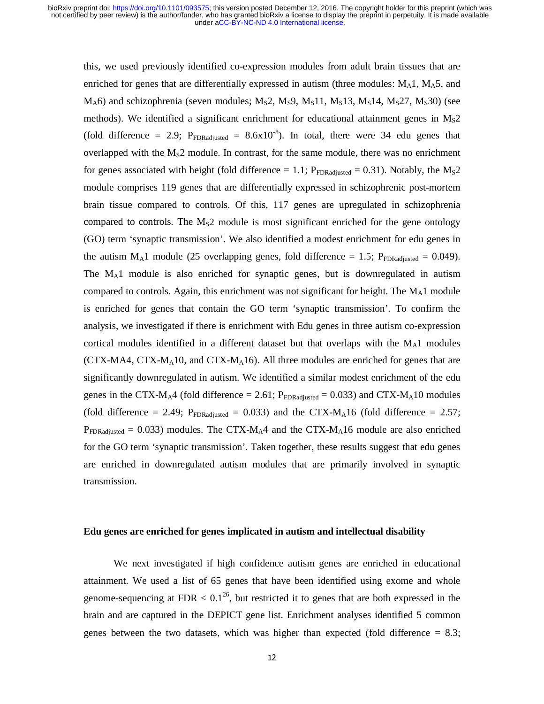this, we used previously identified co-expression modules from adult brain tissues that are enriched for genes that are differentially expressed in autism (three modules:  $M_A$ 1,  $M_A$ 5, and  $M_A$ 6) and schizophrenia (seven modules;  $M_S$ 2,  $M_S$ 9,  $M_S$ 11,  $M_S$ 13,  $M_S$ 14,  $M_S$ 27,  $M_S$ 30) (see methods). We identified a significant enrichment for educational attainment genes in  $M_S2$ (fold difference = 2.9;  $P_{FDRadiusted}$  = 8.6x10<sup>-8</sup>). In total, there were 34 edu genes that overlapped with the  $M_S2$  module. In contrast, for the same module, there was no enrichment for genes associated with height (fold difference = 1.1;  $P_{FDRadjusted} = 0.31$ ). Notably, the M<sub>S</sub>2 module comprises 119 genes that are differentially expressed in schizophrenic post-mortem brain tissue compared to controls. Of this, 117 genes are upregulated in schizophrenia compared to controls. The  $M<sub>S</sub>2$  module is most significant enriched for the gene ontology (GO) term 'synaptic transmission'. We also identified a modest enrichment for edu genes in the autism  $M_A1$  module (25 overlapping genes, fold difference = 1.5;  $P_{FDRadiused} = 0.049$ ). The MA1 module is also enriched for synaptic genes, but is downregulated in autism compared to controls. Again, this enrichment was not significant for height. The  $M_A1$  module is enriched for genes that contain the GO term 'synaptic transmission'. To confirm the analysis, we investigated if there is enrichment with Edu genes in three autism co-expression cortical modules identified in a different dataset but that overlaps with the  $M<sub>A</sub>1$  modules  $(CTX-MA4, CTX-M<sub>A</sub>10, and CTX-M<sub>A</sub>16)$ . All three modules are enriched for genes that are significantly downregulated in autism. We identified a similar modest enrichment of the edu genes in the CTX-M<sub>A</sub>4 (fold difference = 2.61;  $P_{FDRadjusted} = 0.033$ ) and CTX-M<sub>A</sub>10 modules (fold difference = 2.49;  $P_{FDRadiusted}$  = 0.033) and the CTX-M<sub>A</sub>16 (fold difference = 2.57;  $P_{FDRadjusted} = 0.033$ ) modules. The CTX-M<sub>A</sub>4 and the CTX-M<sub>A</sub>16 module are also enriched for the GO term 'synaptic transmission'. Taken together, these results suggest that edu genes are enriched in downregulated autism modules that are primarily involved in synaptic transmission.

#### **Edu genes are enriched for genes implicated in autism and intellectual disability**

We next investigated if high confidence autism genes are enriched in educational attainment. We used a list of 65 genes that have been identified using exome and whole genome-sequencing at FDR  $< 0.1^{26}$ , but restricted it to genes that are both expressed in the brain and are captured in the DEPICT gene list. Enrichment analyses identified 5 common genes between the two datasets, which was higher than expected (fold difference  $= 8.3$ ;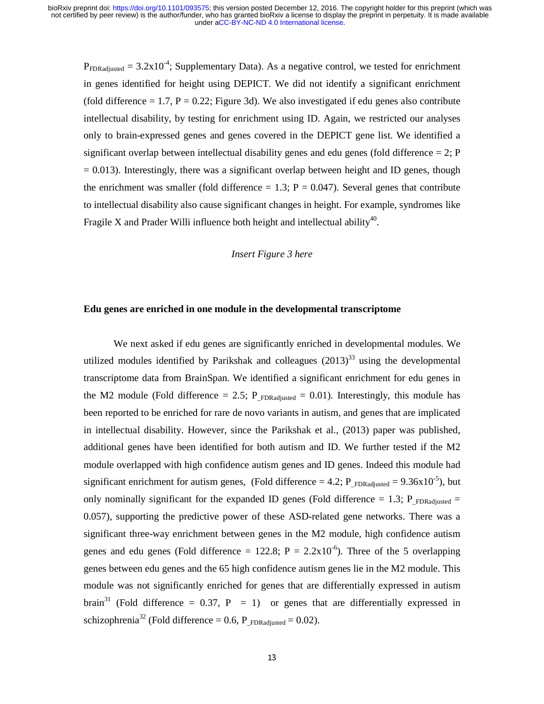$P_{FDRadiusted} = 3.2x10^{-4}$ ; Supplementary Data). As a negative control, we tested for enrichment in genes identified for height using DEPICT. We did not identify a significant enrichment (fold difference  $= 1.7$ ,  $P = 0.22$ ; Figure 3d). We also investigated if edu genes also contribute intellectual disability, by testing for enrichment using ID. Again, we restricted our analyses only to brain-expressed genes and genes covered in the DEPICT gene list. We identified a significant overlap between intellectual disability genes and edu genes (fold difference  $= 2$ ; P  $= 0.013$ ). Interestingly, there was a significant overlap between height and ID genes, though the enrichment was smaller (fold difference  $= 1.3$ ;  $P = 0.047$ ). Several genes that contribute to intellectual disability also cause significant changes in height. For example, syndromes like Fragile X and Prader Willi influence both height and intellectual ability<sup>40</sup>.

#### *Insert Figure 3 here*

#### **Edu genes are enriched in one module in the developmental transcriptome**

We next asked if edu genes are significantly enriched in developmental modules. We utilized modules identified by Parikshak and colleagues  $(2013)^{33}$  using the developmental transcriptome data from BrainSpan. We identified a significant enrichment for edu genes in the M2 module (Fold difference = 2.5; P\_<sub>FDRadiusted</sub> = 0.01). Interestingly, this module has been reported to be enriched for rare de novo variants in autism, and genes that are implicated in intellectual disability. However, since the Parikshak et al., (2013) paper was published, additional genes have been identified for both autism and ID. We further tested if the M2 module overlapped with high confidence autism genes and ID genes. Indeed this module had significant enrichment for autism genes, (Fold difference = 4.2; P\_FDRadjusted =  $9.36x10^{-5}$ ), but only nominally significant for the expanded ID genes (Fold difference = 1.3;  $P_{FDRadjusted}$  = 0.057), supporting the predictive power of these ASD-related gene networks. There was a significant three-way enrichment between genes in the M2 module, high confidence autism genes and edu genes (Fold difference =  $122.8$ ; P =  $2.2x10^{-6}$ ). Three of the 5 overlapping genes between edu genes and the 65 high confidence autism genes lie in the M2 module. This module was not significantly enriched for genes that are differentially expressed in autism brain<sup>31</sup> (Fold difference = 0.37, P = 1) or genes that are differentially expressed in schizophrenia<sup>32</sup> (Fold difference = 0.6, P\_<sub>FDRadiusted</sub> = 0.02).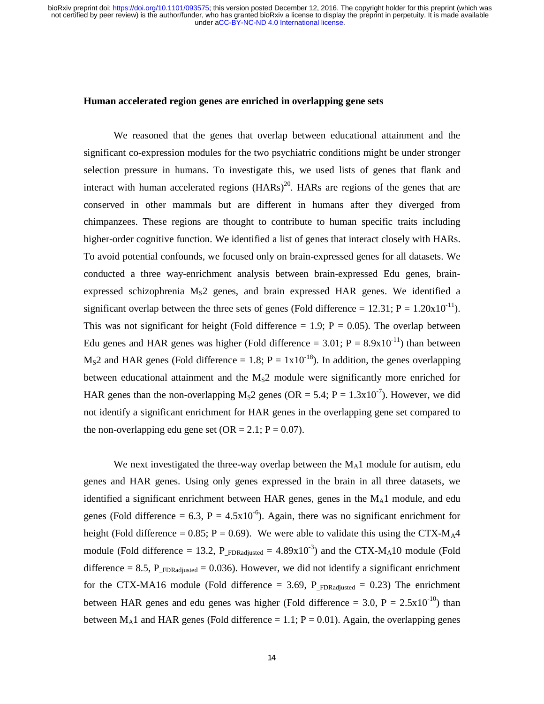#### **Human accelerated region genes are enriched in overlapping gene sets**

We reasoned that the genes that overlap between educational attainment and the significant co-expression modules for the two psychiatric conditions might be under stronger selection pressure in humans. To investigate this, we used lists of genes that flank and interact with human accelerated regions  $(HARS)^{20}$ . HARs are regions of the genes that are conserved in other mammals but are different in humans after they diverged from chimpanzees. These regions are thought to contribute to human specific traits including higher-order cognitive function. We identified a list of genes that interact closely with HARs. To avoid potential confounds, we focused only on brain-expressed genes for all datasets. We conducted a three way-enrichment analysis between brain-expressed Edu genes, brainexpressed schizophrenia  $M<sub>s</sub>2$  genes, and brain expressed HAR genes. We identified a significant overlap between the three sets of genes (Fold difference =  $12.31$ ; P =  $1.20 \times 10^{-11}$ ). This was not significant for height (Fold difference  $= 1.9$ ; P  $= 0.05$ ). The overlap between Edu genes and HAR genes was higher (Fold difference =  $3.01$ ; P =  $8.9x10^{-11}$ ) than between  $M<sub>S</sub>2$  and HAR genes (Fold difference = 1.8; P = 1x10<sup>-18</sup>). In addition, the genes overlapping between educational attainment and the  $M<sub>s</sub>2$  module were significantly more enriched for HAR genes than the non-overlapping M<sub>S</sub>2 genes (OR = 5.4; P =  $1.3x10^{-7}$ ). However, we did not identify a significant enrichment for HAR genes in the overlapping gene set compared to the non-overlapping edu gene set  $(OR = 2.1; P = 0.07)$ .

We next investigated the three-way overlap between the  $M_A1$  module for autism, edu genes and HAR genes. Using only genes expressed in the brain in all three datasets, we identified a significant enrichment between HAR genes, genes in the  $M<sub>A</sub>1$  module, and edu genes (Fold difference = 6.3, P =  $4.5x10^{-6}$ ). Again, there was no significant enrichment for height (Fold difference = 0.85;  $P = 0.69$ ). We were able to validate this using the CTX-M<sub>A</sub>4 module (Fold difference = 13.2, P\_<sub>FDRadjusted</sub> =  $4.89x10^{-3}$ ) and the CTX-M<sub>A</sub>10 module (Fold difference = 8.5,  $P_{FDRadjusted} = 0.036$ ). However, we did not identify a significant enrichment for the CTX-MA16 module (Fold difference = 3.69, P  $_{FDRadiusted}$  = 0.23) The enrichment between HAR genes and edu genes was higher (Fold difference = 3.0,  $P = 2.5 \times 10^{-10}$ ) than between  $M_A1$  and HAR genes (Fold difference = 1.1; P = 0.01). Again, the overlapping genes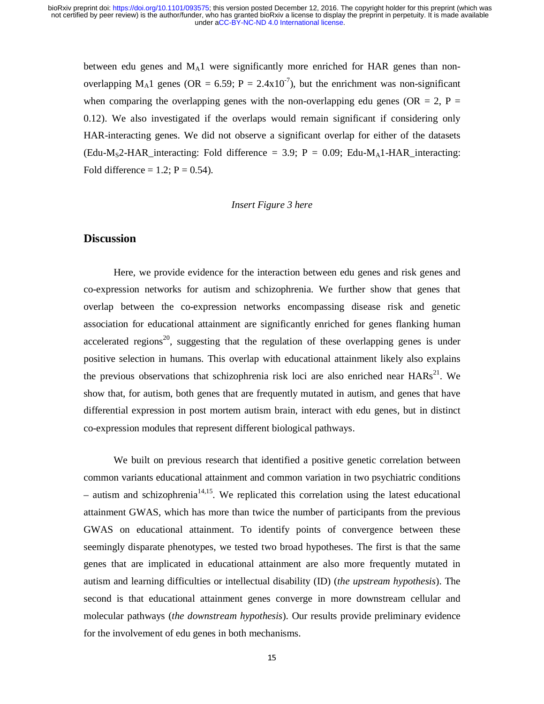between edu genes and  $M_A1$  were significantly more enriched for HAR genes than nonoverlapping M<sub>A</sub>1 genes (OR = 6.59; P = 2.4x10<sup>-7</sup>), but the enrichment was non-significant when comparing the overlapping genes with the non-overlapping edu genes (OR = 2, P = 0.12). We also investigated if the overlaps would remain significant if considering only HAR-interacting genes. We did not observe a significant overlap for either of the datasets (Edu-M<sub>S</sub>2-HAR interacting: Fold difference = 3.9; P = 0.09; Edu-M<sub>A</sub>1-HAR interacting: Fold difference =  $1.2$ ; P = 0.54).

#### *Insert Figure 3 here*

### **Discussion**

Here, we provide evidence for the interaction between edu genes and risk genes and co-expression networks for autism and schizophrenia. We further show that genes that overlap between the co-expression networks encompassing disease risk and genetic association for educational attainment are significantly enriched for genes flanking human accelerated regions<sup>20</sup>, suggesting that the regulation of these overlapping genes is under positive selection in humans. This overlap with educational attainment likely also explains the previous observations that schizophrenia risk loci are also enriched near  $HARs<sup>21</sup>$ . We show that, for autism, both genes that are frequently mutated in autism, and genes that have differential expression in post mortem autism brain, interact with edu genes, but in distinct co-expression modules that represent different biological pathways.

We built on previous research that identified a positive genetic correlation between common variants educational attainment and common variation in two psychiatric conditions – autism and schizophrenia<sup>14,15</sup>. We replicated this correlation using the latest educational attainment GWAS, which has more than twice the number of participants from the previous GWAS on educational attainment. To identify points of convergence between these seemingly disparate phenotypes, we tested two broad hypotheses. The first is that the same genes that are implicated in educational attainment are also more frequently mutated in autism and learning difficulties or intellectual disability (ID) (*the upstream hypothesis*). The second is that educational attainment genes converge in more downstream cellular and molecular pathways (*the downstream hypothesis*). Our results provide preliminary evidence for the involvement of edu genes in both mechanisms.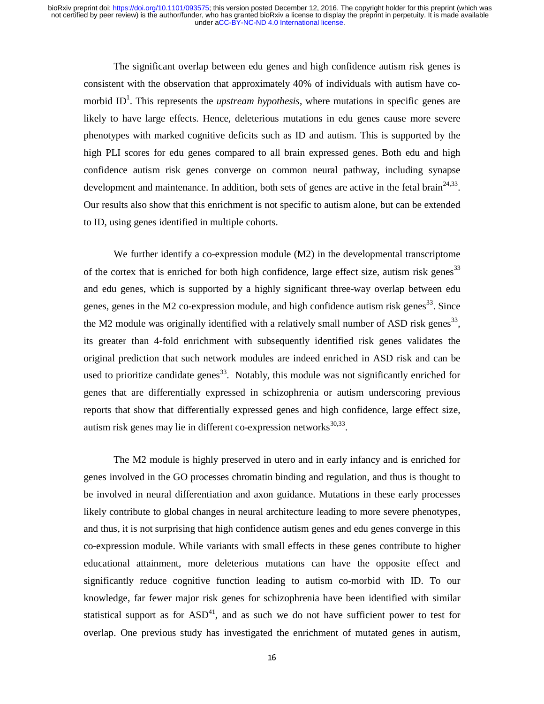The significant overlap between edu genes and high confidence autism risk genes is consistent with the observation that approximately 40% of individuals with autism have comorbid ID<sup>1</sup>. This represents the *upstream hypothesis*, where mutations in specific genes are likely to have large effects. Hence, deleterious mutations in edu genes cause more severe phenotypes with marked cognitive deficits such as ID and autism. This is supported by the high PLI scores for edu genes compared to all brain expressed genes. Both edu and high confidence autism risk genes converge on common neural pathway, including synapse development and maintenance. In addition, both sets of genes are active in the fetal brain<sup> $24,33$ </sup>. Our results also show that this enrichment is not specific to autism alone, but can be extended to ID, using genes identified in multiple cohorts.

We further identify a co-expression module  $(M2)$  in the developmental transcriptome of the cortex that is enriched for both high confidence, large effect size, autism risk genes<sup>33</sup> and edu genes, which is supported by a highly significant three-way overlap between edu genes, genes in the M2 co-expression module, and high confidence autism risk genes<sup>33</sup>. Since the M2 module was originally identified with a relatively small number of ASD risk genes<sup>33</sup>. its greater than 4-fold enrichment with subsequently identified risk genes validates the original prediction that such network modules are indeed enriched in ASD risk and can be used to prioritize candidate genes<sup>33</sup>. Notably, this module was not significantly enriched for genes that are differentially expressed in schizophrenia or autism underscoring previous reports that show that differentially expressed genes and high confidence, large effect size, autism risk genes may lie in different co-expression networks $^{30,33}$ .

The M2 module is highly preserved in utero and in early infancy and is enriched for genes involved in the GO processes chromatin binding and regulation, and thus is thought to be involved in neural differentiation and axon guidance. Mutations in these early processes likely contribute to global changes in neural architecture leading to more severe phenotypes, and thus, it is not surprising that high confidence autism genes and edu genes converge in this co-expression module. While variants with small effects in these genes contribute to higher educational attainment, more deleterious mutations can have the opposite effect and significantly reduce cognitive function leading to autism co-morbid with ID. To our knowledge, far fewer major risk genes for schizophrenia have been identified with similar statistical support as for  $ASD<sup>41</sup>$ , and as such we do not have sufficient power to test for overlap. One previous study has investigated the enrichment of mutated genes in autism,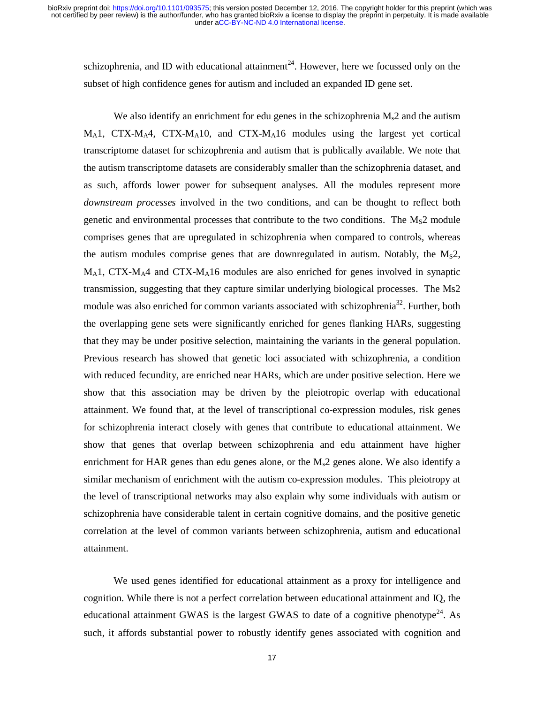schizophrenia, and ID with educational attainment<sup>24</sup>. However, here we focussed only on the subset of high confidence genes for autism and included an expanded ID gene set.

We also identify an enrichment for edu genes in the schizophrenia  $M<sub>s</sub>2$  and the autism  $M_A$ 1, CTX- $M_A$ 4, CTX- $M_A$ 10, and CTX- $M_A$ 16 modules using the largest yet cortical transcriptome dataset for schizophrenia and autism that is publically available. We note that the autism transcriptome datasets are considerably smaller than the schizophrenia dataset, and as such, affords lower power for subsequent analyses. All the modules represent more *downstream processes* involved in the two conditions, and can be thought to reflect both genetic and environmental processes that contribute to the two conditions. The  $M<sub>S</sub>2$  module comprises genes that are upregulated in schizophrenia when compared to controls, whereas the autism modules comprise genes that are downregulated in autism. Notably, the  $M<sub>s</sub>2$ ,  $M_A$ 1, CTX- $M_A$ 4 and CTX- $M_A$ 16 modules are also enriched for genes involved in synaptic transmission, suggesting that they capture similar underlying biological processes. The Ms2 module was also enriched for common variants associated with schizophrenia<sup>32</sup>. Further, both the overlapping gene sets were significantly enriched for genes flanking HARs, suggesting that they may be under positive selection, maintaining the variants in the general population. Previous research has showed that genetic loci associated with schizophrenia, a condition with reduced fecundity, are enriched near HARs, which are under positive selection. Here we show that this association may be driven by the pleiotropic overlap with educational attainment. We found that, at the level of transcriptional co-expression modules, risk genes for schizophrenia interact closely with genes that contribute to educational attainment. We show that genes that overlap between schizophrenia and edu attainment have higher enrichment for HAR genes than edu genes alone, or the  $M_s2$  genes alone. We also identify a similar mechanism of enrichment with the autism co-expression modules. This pleiotropy at the level of transcriptional networks may also explain why some individuals with autism or schizophrenia have considerable talent in certain cognitive domains, and the positive genetic correlation at the level of common variants between schizophrenia, autism and educational attainment.

We used genes identified for educational attainment as a proxy for intelligence and cognition. While there is not a perfect correlation between educational attainment and IQ, the educational attainment GWAS is the largest GWAS to date of a cognitive phenotype<sup>24</sup>. As such, it affords substantial power to robustly identify genes associated with cognition and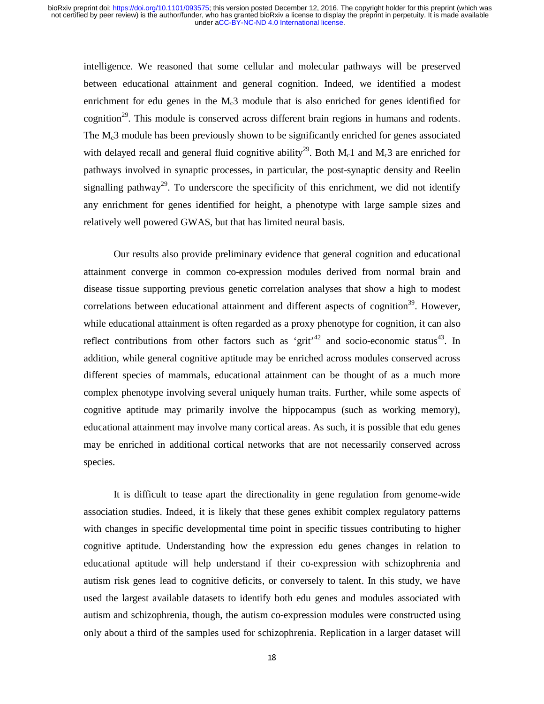intelligence. We reasoned that some cellular and molecular pathways will be preserved between educational attainment and general cognition. Indeed, we identified a modest enrichment for edu genes in the  $M<sub>c</sub>3$  module that is also enriched for genes identified for cognition<sup>29</sup>. This module is conserved across different brain regions in humans and rodents. The M<sub>c</sub>3 module has been previously shown to be significantly enriched for genes associated with delayed recall and general fluid cognitive ability<sup>29</sup>. Both  $M_c1$  and  $M_c3$  are enriched for pathways involved in synaptic processes, in particular, the post-synaptic density and Reelin signalling pathway<sup>29</sup>. To underscore the specificity of this enrichment, we did not identify any enrichment for genes identified for height, a phenotype with large sample sizes and relatively well powered GWAS, but that has limited neural basis.

Our results also provide preliminary evidence that general cognition and educational attainment converge in common co-expression modules derived from normal brain and disease tissue supporting previous genetic correlation analyses that show a high to modest correlations between educational attainment and different aspects of cognition<sup>39</sup>. However, while educational attainment is often regarded as a proxy phenotype for cognition, it can also reflect contributions from other factors such as 'grit<sup> $42$ </sup> and socio-economic status<sup>43</sup>. In addition, while general cognitive aptitude may be enriched across modules conserved across different species of mammals, educational attainment can be thought of as a much more complex phenotype involving several uniquely human traits. Further, while some aspects of cognitive aptitude may primarily involve the hippocampus (such as working memory), educational attainment may involve many cortical areas. As such, it is possible that edu genes may be enriched in additional cortical networks that are not necessarily conserved across species.

It is difficult to tease apart the directionality in gene regulation from genome-wide association studies. Indeed, it is likely that these genes exhibit complex regulatory patterns with changes in specific developmental time point in specific tissues contributing to higher cognitive aptitude. Understanding how the expression edu genes changes in relation to educational aptitude will help understand if their co-expression with schizophrenia and autism risk genes lead to cognitive deficits, or conversely to talent. In this study, we have used the largest available datasets to identify both edu genes and modules associated with autism and schizophrenia, though, the autism co-expression modules were constructed using only about a third of the samples used for schizophrenia. Replication in a larger dataset will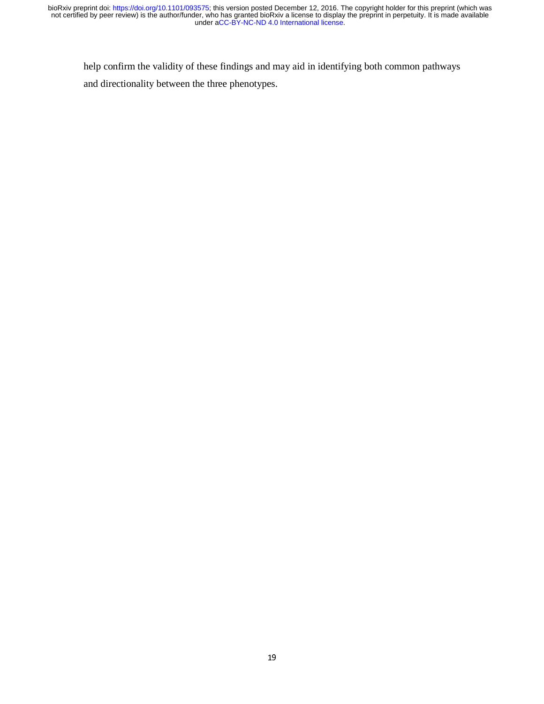help confirm the validity of these findings and may aid in identifying both common pathways and directionality between the three phenotypes.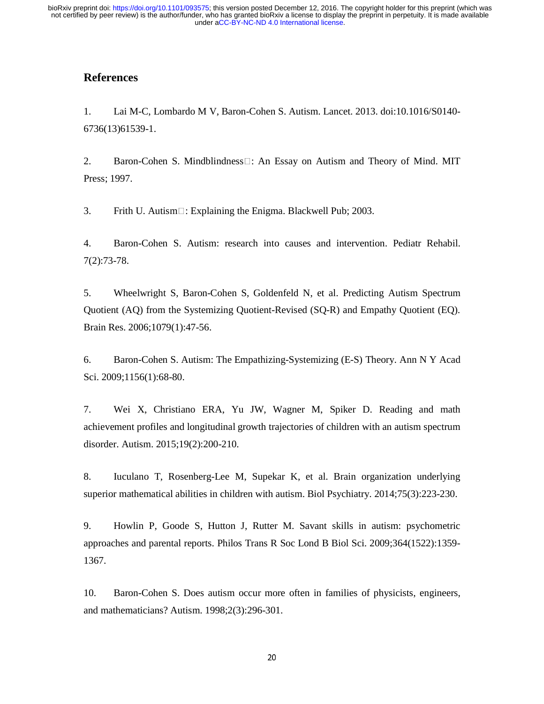# **References**

1. Lai M-C, Lombardo M V, Baron-Cohen S. Autism. Lancet. 2013. doi:10.1016/S0140- 6736(13)61539-1.

2. Baron-Cohen S. Mindblindness $\Box$ : An Essay on Autism and Theory of Mind. MIT Press; 1997.

3. Frith U. Autism $\Box$ : Explaining the Enigma. Blackwell Pub; 2003.

4. Baron-Cohen S. Autism: research into causes and intervention. Pediatr Rehabil. 7(2):73-78.

5. Wheelwright S, Baron-Cohen S, Goldenfeld N, et al. Predicting Autism Spectrum Quotient (AQ) from the Systemizing Quotient-Revised (SQ-R) and Empathy Quotient (EQ). Brain Res. 2006;1079(1):47-56.

6. Baron-Cohen S. Autism: The Empathizing-Systemizing (E-S) Theory. Ann N Y Acad Sci. 2009;1156(1):68-80.

7. Wei X, Christiano ERA, Yu JW, Wagner M, Spiker D. Reading and math achievement profiles and longitudinal growth trajectories of children with an autism spectrum disorder. Autism. 2015;19(2):200-210.

8. Iuculano T, Rosenberg-Lee M, Supekar K, et al. Brain organization underlying superior mathematical abilities in children with autism. Biol Psychiatry. 2014;75(3):223-230.

9. Howlin P, Goode S, Hutton J, Rutter M. Savant skills in autism: psychometric approaches and parental reports. Philos Trans R Soc Lond B Biol Sci. 2009;364(1522):1359- 1367.

10. Baron-Cohen S. Does autism occur more often in families of physicists, engineers, and mathematicians? Autism. 1998;2(3):296-301.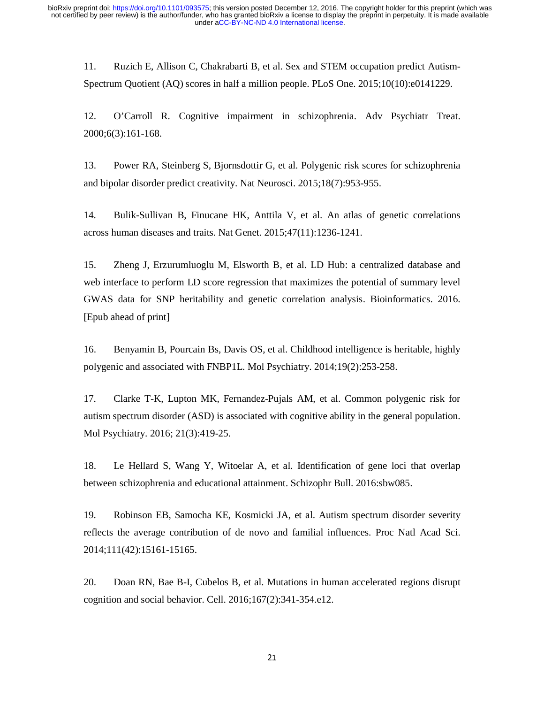11. Ruzich E, Allison C, Chakrabarti B, et al. Sex and STEM occupation predict Autism-Spectrum Quotient (AQ) scores in half a million people. PLoS One. 2015;10(10):e0141229.

12. O'Carroll R. Cognitive impairment in schizophrenia. Adv Psychiatr Treat. 2000;6(3):161-168.

13. Power RA, Steinberg S, Bjornsdottir G, et al. Polygenic risk scores for schizophrenia and bipolar disorder predict creativity. Nat Neurosci. 2015;18(7):953-955.

14. Bulik-Sullivan B, Finucane HK, Anttila V, et al. An atlas of genetic correlations across human diseases and traits. Nat Genet. 2015;47(11):1236-1241.

15. Zheng J, Erzurumluoglu M, Elsworth B, et al. LD Hub: a centralized database and web interface to perform LD score regression that maximizes the potential of summary level GWAS data for SNP heritability and genetic correlation analysis. Bioinformatics. 2016. [Epub ahead of print]

16. Benyamin B, Pourcain Bs, Davis OS, et al. Childhood intelligence is heritable, highly polygenic and associated with FNBP1L. Mol Psychiatry. 2014;19(2):253-258.

17. Clarke T-K, Lupton MK, Fernandez-Pujals AM, et al. Common polygenic risk for autism spectrum disorder (ASD) is associated with cognitive ability in the general population. Mol Psychiatry. 2016; 21(3):419-25.

18. Le Hellard S, Wang Y, Witoelar A, et al. Identification of gene loci that overlap between schizophrenia and educational attainment. Schizophr Bull. 2016:sbw085.

19. Robinson EB, Samocha KE, Kosmicki JA, et al. Autism spectrum disorder severity reflects the average contribution of de novo and familial influences. Proc Natl Acad Sci. 2014;111(42):15161-15165.

20. Doan RN, Bae B-I, Cubelos B, et al. Mutations in human accelerated regions disrupt cognition and social behavior. Cell. 2016;167(2):341-354.e12.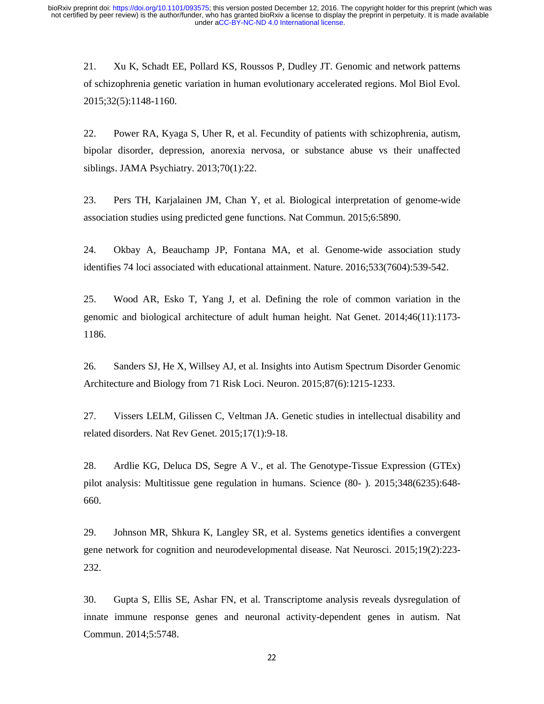21. Xu K, Schadt EE, Pollard KS, Roussos P, Dudley JT. Genomic and network patterns of schizophrenia genetic variation in human evolutionary accelerated regions. Mol Biol Evol. 2015;32(5):1148-1160.

22. Power RA, Kyaga S, Uher R, et al. Fecundity of patients with schizophrenia, autism, bipolar disorder, depression, anorexia nervosa, or substance abuse vs their unaffected siblings. JAMA Psychiatry. 2013;70(1):22.

23. Pers TH, Karjalainen JM, Chan Y, et al. Biological interpretation of genome-wide association studies using predicted gene functions. Nat Commun. 2015;6:5890.

24. Okbay A, Beauchamp JP, Fontana MA, et al. Genome-wide association study identifies 74 loci associated with educational attainment. Nature. 2016;533(7604):539-542.

25. Wood AR, Esko T, Yang J, et al. Defining the role of common variation in the genomic and biological architecture of adult human height. Nat Genet. 2014;46(11):1173- 1186.

26. Sanders SJ, He X, Willsey AJ, et al. Insights into Autism Spectrum Disorder Genomic Architecture and Biology from 71 Risk Loci. Neuron. 2015;87(6):1215-1233.

27. Vissers LELM, Gilissen C, Veltman JA. Genetic studies in intellectual disability and related disorders. Nat Rev Genet. 2015;17(1):9-18.

28. Ardlie KG, Deluca DS, Segre A V., et al. The Genotype-Tissue Expression (GTEx) pilot analysis: Multitissue gene regulation in humans. Science (80- ). 2015;348(6235):648- 660.

29. Johnson MR, Shkura K, Langley SR, et al. Systems genetics identifies a convergent gene network for cognition and neurodevelopmental disease. Nat Neurosci. 2015;19(2):223- 232.

30. Gupta S, Ellis SE, Ashar FN, et al. Transcriptome analysis reveals dysregulation of innate immune response genes and neuronal activity-dependent genes in autism. Nat Commun. 2014;5:5748.

22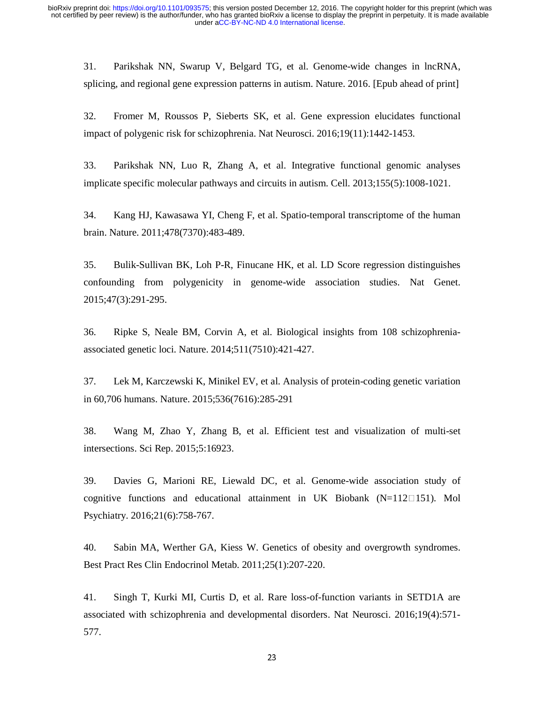31. Parikshak NN, Swarup V, Belgard TG, et al. Genome-wide changes in lncRNA, splicing, and regional gene expression patterns in autism. Nature. 2016. [Epub ahead of print]

32. Fromer M, Roussos P, Sieberts SK, et al. Gene expression elucidates functional impact of polygenic risk for schizophrenia. Nat Neurosci. 2016;19(11):1442-1453.

33. Parikshak NN, Luo R, Zhang A, et al. Integrative functional genomic analyses implicate specific molecular pathways and circuits in autism. Cell. 2013;155(5):1008-1021.

34. Kang HJ, Kawasawa YI, Cheng F, et al. Spatio-temporal transcriptome of the human brain. Nature. 2011;478(7370):483-489.

35. Bulik-Sullivan BK, Loh P-R, Finucane HK, et al. LD Score regression distinguishes confounding from polygenicity in genome-wide association studies. Nat Genet. 2015;47(3):291-295.

36. Ripke S, Neale BM, Corvin A, et al. Biological insights from 108 schizophreniaassociated genetic loci. Nature. 2014;511(7510):421-427.

37. Lek M, Karczewski K, Minikel EV, et al. Analysis of protein-coding genetic variation in 60,706 humans. Nature. 2015;536(7616):285-291

38. Wang M, Zhao Y, Zhang B, et al. Efficient test and visualization of multi-set intersections. Sci Rep. 2015;5:16923.

39. Davies G, Marioni RE, Liewald DC, et al. Genome-wide association study of cognitive functions and educational attainment in UK Biobank  $(N=112 \square 151)$ . Mol Psychiatry. 2016;21(6):758-767.

40. Sabin MA, Werther GA, Kiess W. Genetics of obesity and overgrowth syndromes. Best Pract Res Clin Endocrinol Metab. 2011;25(1):207-220.

41. Singh T, Kurki MI, Curtis D, et al. Rare loss-of-function variants in SETD1A are associated with schizophrenia and developmental disorders. Nat Neurosci. 2016;19(4):571- 577.

23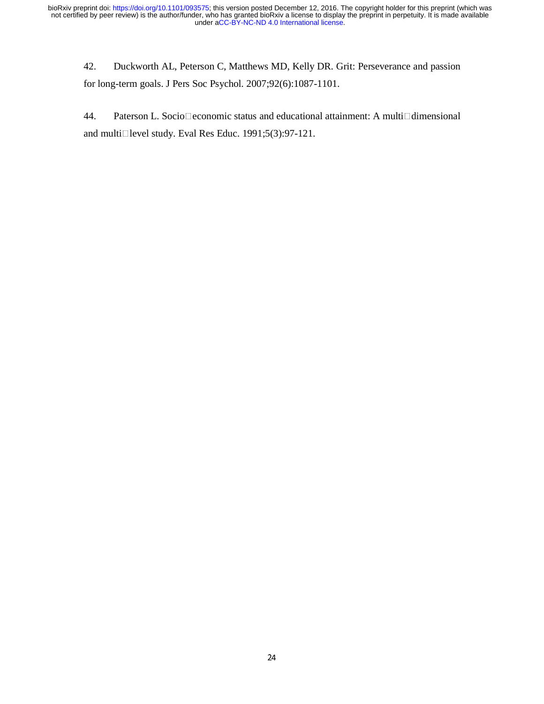42. Duckworth AL, Peterson C, Matthews MD, Kelly DR. Grit: Perseverance and passion for long-term goals. J Pers Soc Psychol. 2007;92(6):1087-1101.

44. Paterson L. Socio $\Box$ economic status and educational attainment: A multi $\Box$ dimensional and multi $\Box$  level study. Eval Res Educ. 1991;5(3):97-121.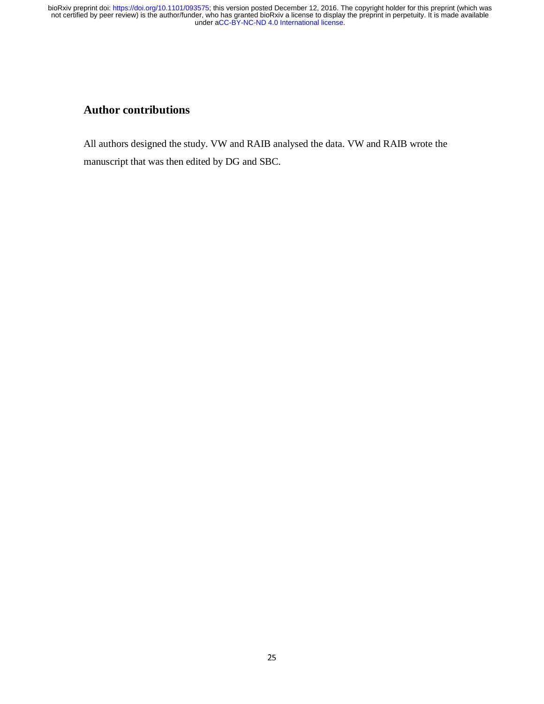# **Author contributions**

All authors designed the study. VW and RAIB analysed the data. VW and RAIB wrote the manuscript that was then edited by DG and SBC.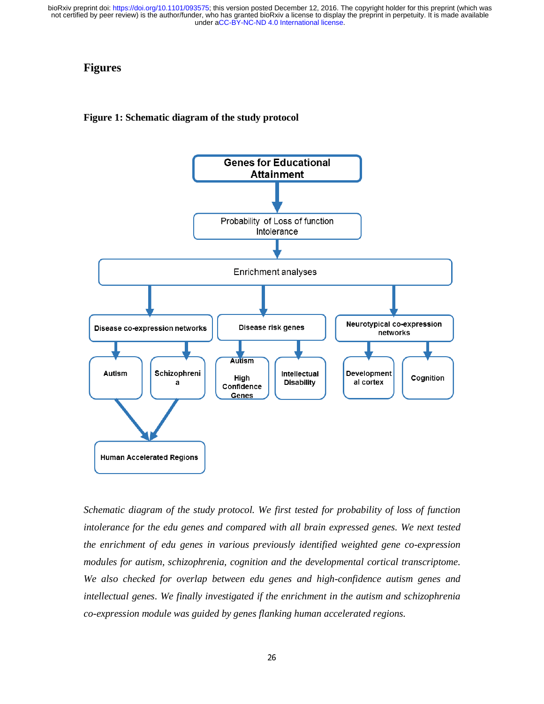# **Figures**

#### **Figure 1: Schematic diagram of the study protocol**



*Schematic diagram of the study protocol. We first tested for probability of loss of function intolerance for the edu genes and compared with all brain expressed genes. We next tested the enrichment of edu genes in various previously identified weighted gene co-expression modules for autism, schizophrenia, cognition and the developmental cortical transcriptome. We also checked for overlap between edu genes and high-confidence autism genes and intellectual genes. We finally investigated if the enrichment in the autism and schizophrenia co-expression module was guided by genes flanking human accelerated regions.*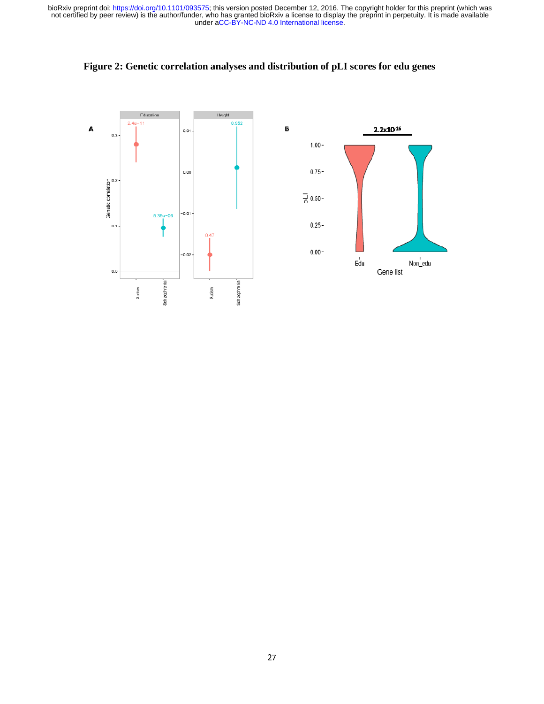

**Figure 2: Genetic correlation analyses and distribution of pLI scores for edu genes**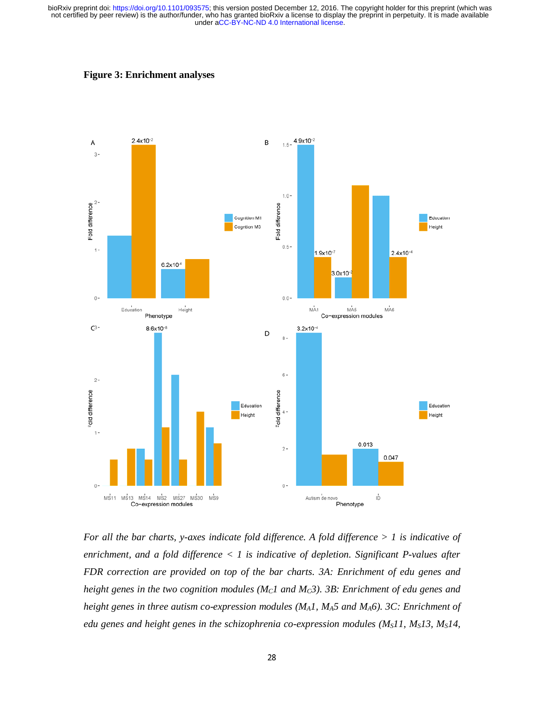



*For all the bar charts, y-axes indicate fold difference. A fold difference > 1 is indicative of enrichment, and a fold difference < 1 is indicative of depletion. Significant P-values after FDR correction are provided on top of the bar charts. 3A: Enrichment of edu genes and height genes in the two cognition modules (* $M<sub>C</sub>1$  *and*  $M<sub>C</sub>3$ *). 3B: Enrichment of edu genes and height genes in three autism co-expression modules (MA1, MA5 and MA6). 3C: Enrichment of edu genes and height genes in the schizophrenia co-expression modules (M<sub>S</sub>11, M<sub>S</sub>13, M<sub>S</sub>14,*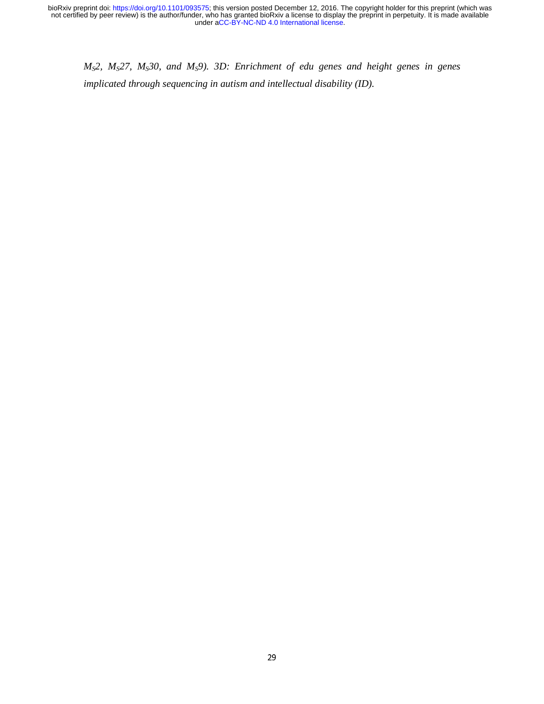*M<sub>S</sub>2, M<sub>S</sub>27, M<sub>S</sub>30, and M<sub>S</sub>9). 3D: Enrichment of edu genes and height genes in genes implicated through sequencing in autism and intellectual disability (ID).*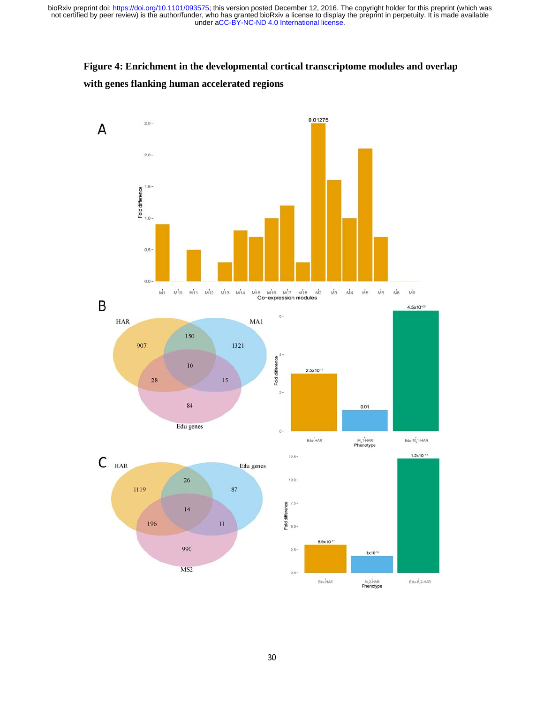# **Figure 4: Enrichment in the developmental cortical transcriptome modules and overlap with genes flanking human accelerated regions**







A